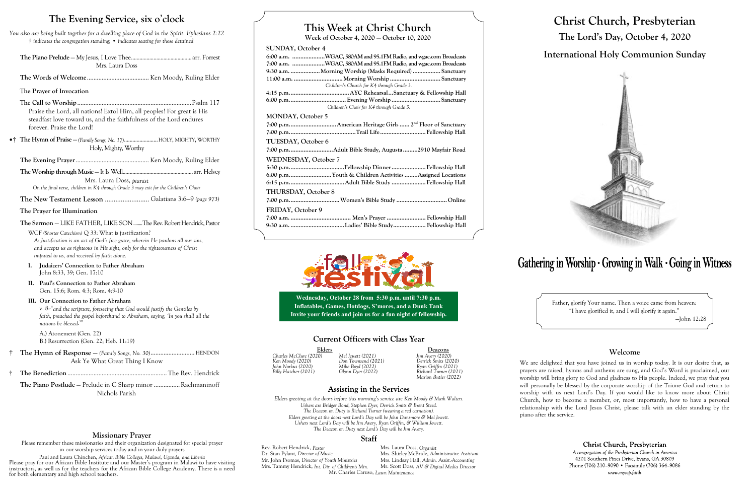# **This Week at Christ Church**

**Week of October 4, 2020 — October 10, 2020**

### **SUNDAY, October 4**

| 6:00 a.m. WGAC, 580AM and 95.1FM Radio, and wgac.com Broadcasts |
|-----------------------------------------------------------------|
| 7:00 a.m. WGAC, 580AM and 95.1FM Radio, and wgac.com Broadcasts |
| 9:30 a.m. Morning Worship (Masks Required)  Sanctuary           |
|                                                                 |
| Children's Church for K4 through Grade 3.                       |
|                                                                 |
|                                                                 |
| Children's Choir for K4 through Grade 3.                        |
| <b>MONDAY, October 5</b>                                        |
|                                                                 |
|                                                                 |
| TUESDAY, October 6                                              |
| 7:00 p.mAdult Bible Study, Augusta 2910 Mayfair Road            |
| WEDNESDAY, October 7                                            |
|                                                                 |
| 6:00 p.mYouth & Children Activities Assigned Locations          |
|                                                                 |
| THURSDAY, October 8                                             |
|                                                                 |
| FRIDAY, October 9                                               |
|                                                                 |
|                                                                 |



Elders Deacons<br>
20) Mel Jewett (2021) Jim Avery (2020) *Charles McClure (2020) Mel Jewett (2021) Jim Avery (2020) Billy Hatcher (2021) Glynn Dyer (2022) Richard Turner (2021) Marion Butler (2022)*

### **Assisting in the Services**

Rev. Robert Hendrick, *Pastor* Mrs. Laura Doss, *Organist*<br>
Dr. Stan Pylant, *Director of Music* Mrs. Shirley McBride, *Adm* Mr. John Psomas, *Director of Youth Ministries* Mrs. Tammy Hendrick, *Int. Dir. of Children's Min.* Mr. Scott Doss, *AV & Digital Media Director* Mr. Charles Caruso, *Lawn Maintenance*

Mrs. Shirley McBride, *Administrative Assistant*<br>Mrs. Lindsay Hall, *Admin. Assist. Accounting* 



*Ken Moody (2020) Don Townsend (2021) Derrick Smits (2020) John Norkus (2020) Mike Boyd (2022) Ryan Griffin (2021)*

*Elders greeting at the doors before this morning's service are Ken Moody & Mark Walters. Ushers are Bridger Bond, Stephen Dyer, Derrick Smits & Brent Steed. The Deacon on Duty* is *Richard Turner (wearing a red carnation). Elders greeting at the doors next Lord's Day will be John Dunsmore & Mel Jewett. Ushers next Lord's Day will be Jim Avery, Ryan Griffin, & William Jewett. The Deacon on Duty next Lord's Day will be Jim Avery.*

### Staff

# **Christ Church, Presbyterian The Lord's Day, October 4, 2020 International Holy Communion Sunday**



# Gathering in Worship · Growing in Walk · Going in Witness

Father, glorify Your name. Then a voice came from heaven: "I have glorified it, and I will glorify it again." —John 12:28

The Piano Postlude – Prelude in C Sharp minor ................ Rachmaninoff Nichols Parish

### **Welcome**

We are delighted that you have joined us in worship today. It is our desire that, as prayers are raised, hymns and anthems are sung, and God's Word is proclaimed, our worship will bring glory to God and gladness to His people. Indeed, we pray that you will personally be blessed by the corporate worship of the Triune God and return to worship with us next Lord's Day. If you would like to know more about Christ Church, how to become a member, or, most importantly, how to have a personal relationship with the Lord Jesus Christ, please talk with an elder standing by the

Christ Church, Presbyterian

A congregation of the Presbyterian Church in America 4201 Southern Pines Drive, Evans, GA 30809 Phone (706) 210-9090 • Facsimile (706) 364-9086 www.myccp.faith

piano after the service.

## **The Evening Service, six o**'**clock**

*You also are being built together for a dwelling place of God in the Spirit. Ephesians 2:22* † *indicates the congregation standing;* • *indicates seating for those detained*

**The Piano Prelude** — My Jesus, I Love Thee...........................................arr. Forrest Mrs. Laura Doss

**The Words of Welcome**...................................... Ken Moody, Ruling Elder

### T**he Prayer of Invocation**

T**he Call to Worship**......................................................................Psalm 117 Praise the Lord, all nations! Extol Him, all peoples! For great is His steadfast love toward us, and the faithfulness of the Lord endures forever. Praise the Lord!

•† **The Hymn of Praise** — *(Family Songs, No. 17)*........................HOLY, MIGHTY, WORTHY Holy, Mighty, Worthy

**The Evening Prayer**............................................. Ken Moody, Ruling Elder

**The Worship through Music** — It Is Well..................................................arr. Helvey Mrs. Laura Doss, *pianist On the final verse, children in K4 through Grade 3 may exit for the Children's Choir*

**The New Testament Lesson** ......................... Galatians 3:6—9 *(page 973)*

### **The Prayer for Illumination**

**The Sermon** — LIKE FATHER, LIKE SON........The Rev. Robert Hendrick, Pastor

WCF *(Shorter Catechism)* Q 33: What is justification? *A: Justification is an act of God's free grace, wherein He pardons all our sins, and accepts us as righteous in His sight, only for the righteousness of Christ imputed to us, and received by faith alone.*

- **I. Judaizers' Connection to Father Abraham** John 8:33, 39; Gen. 17:10
- **II. Paul's Connection to Father Abraham** Gen. 15:6; Rom. 4:3; Rom. 4:9-10

### **III. Our Connection to Father Abraham**

v. 8--"*and the scripture, foreseeing that God would justify the Gentiles by faith, preached the gospel beforehand to Abraham, saying, 'In you shall all the nations be blessed*.'"

A.) Atonement (Gen. 22) B.) Resurrection (Gen. 22; Heb. 11:19)

- † **The Hymn of Response**  *(Family Songs, No. 30)*........................... HENDON Ask Ye What Great Thing I Know
- † **The Benediction**............................................................. The Rev. Hendrick

### **Missionary Prayer**

Please remember these missionaries and their organization designated for special prayer in our worship services today and in your daily prayers

Paul and Laura Chinchen, *African Bible Colleges, Malawi, Uganda, and Liberia* Please pray for our African Bible Institute and our Master's program in Malawi to have visiting instructors, as well as for the teachers for the African Bible College Academy. There is a need for both elementary and high school teachers.

**Wednesday, October 28 from 5:30 p.m. until 7:30 p.m. Inflatables, Games, Hotdogs, S'mores, and a Dunk Tank Invite your friends and join us for a fun night of fellowship.**

## **Current Officers with Class Year**